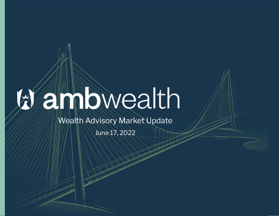## anbwealth

Wealth Advisory Market Update

June 17, 2022